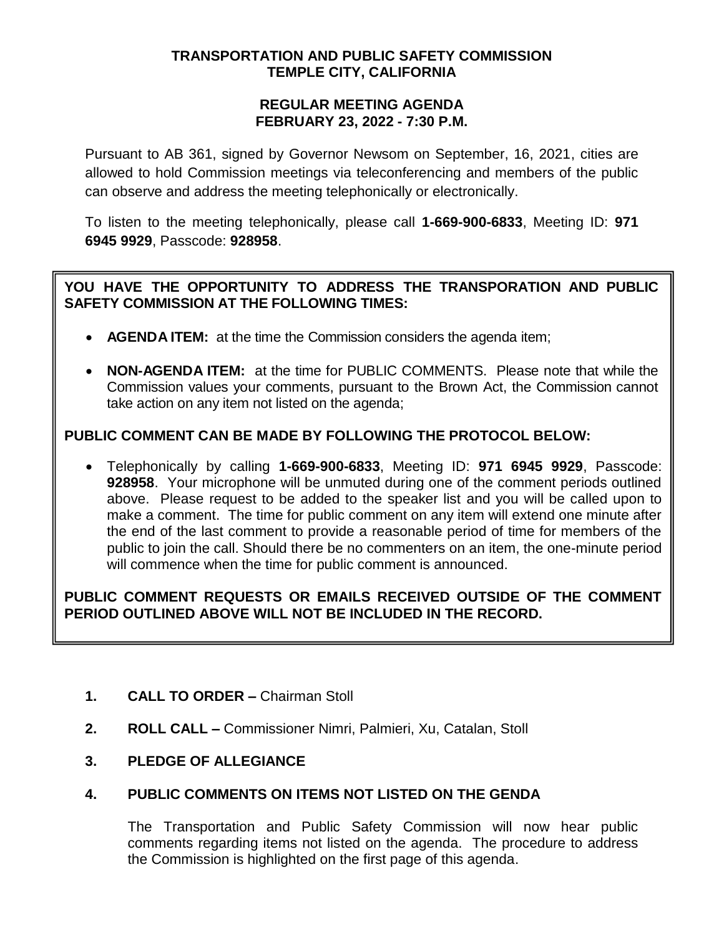### **TRANSPORTATION AND PUBLIC SAFETY COMMISSION TEMPLE CITY, CALIFORNIA**

#### **REGULAR MEETING AGENDA FEBRUARY 23, 2022 - 7:30 P.M.**

Pursuant to AB 361, signed by Governor Newsom on September, 16, 2021, cities are allowed to hold Commission meetings via teleconferencing and members of the public can observe and address the meeting telephonically or electronically.

To listen to the meeting telephonically, please call **1-669-900-6833**, Meeting ID: **971 6945 9929**, Passcode: **928958**.

# **YOU HAVE THE OPPORTUNITY TO ADDRESS THE TRANSPORATION AND PUBLIC SAFETY COMMISSION AT THE FOLLOWING TIMES:**

- **AGENDA ITEM:** at the time the Commission considers the agenda item;
- **NON-AGENDA ITEM:** at the time for PUBLIC COMMENTS. Please note that while the Commission values your comments, pursuant to the Brown Act, the Commission cannot take action on any item not listed on the agenda;

# **PUBLIC COMMENT CAN BE MADE BY FOLLOWING THE PROTOCOL BELOW:**

 Telephonically by calling **1-669-900-6833**, Meeting ID: **971 6945 9929**, Passcode: **928958**. Your microphone will be unmuted during one of the comment periods outlined above. Please request to be added to the speaker list and you will be called upon to make a comment. The time for public comment on any item will extend one minute after the end of the last comment to provide a reasonable period of time for members of the public to join the call. Should there be no commenters on an item, the one-minute period will commence when the time for public comment is announced.

## **PUBLIC COMMENT REQUESTS OR EMAILS RECEIVED OUTSIDE OF THE COMMENT PERIOD OUTLINED ABOVE WILL NOT BE INCLUDED IN THE RECORD.**

- **1. CALL TO ORDER –** Chairman Stoll
- **2. ROLL CALL –** Commissioner Nimri, Palmieri, Xu, Catalan, Stoll
- **3. PLEDGE OF ALLEGIANCE**

### **4. PUBLIC COMMENTS ON ITEMS NOT LISTED ON THE GENDA**

The Transportation and Public Safety Commission will now hear public comments regarding items not listed on the agenda. The procedure to address the Commission is highlighted on the first page of this agenda.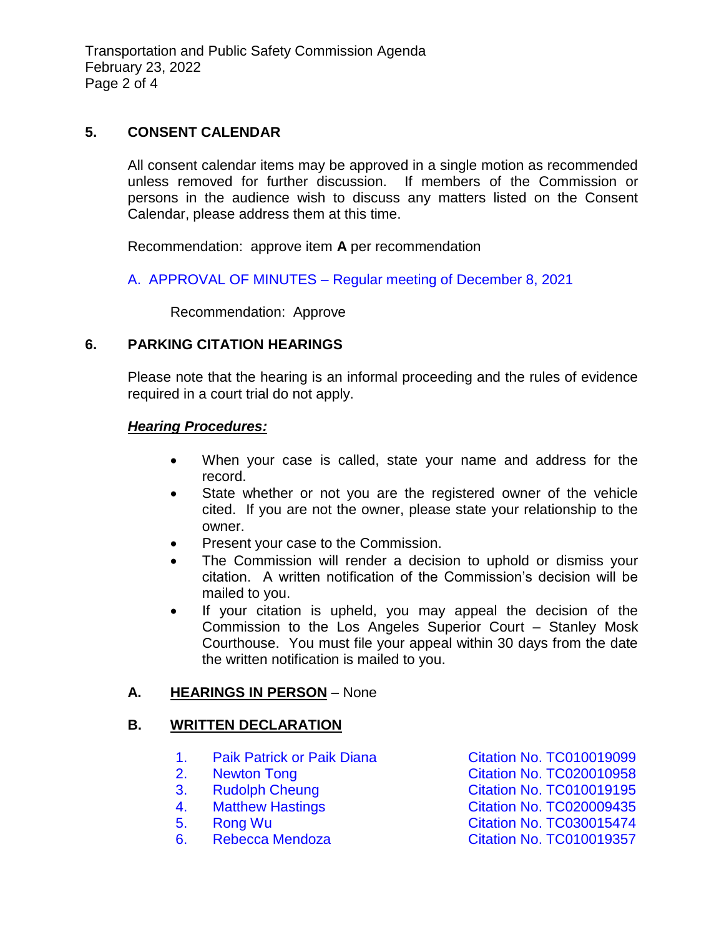Transportation and Public Safety Commission Agenda February 23, 2022 Page 2 of 4

### **5. CONSENT CALENDAR**

All consent calendar items may be approved in a single motion as recommended unless removed for further discussion. If members of the Commission or persons in the audience wish to discuss any matters listed on the Consent Calendar, please address them at this time.

Recommendation: approve item **A** per recommendation

A. APPROVAL OF MINUTES – [Regular meeting of December](/DocumentCenter/View/17511/TPSC-min-2022-12-08) 8, 2021

Recommendation: Approve

#### **6. PARKING CITATION HEARINGS**

Please note that the hearing is an informal proceeding and the rules of evidence required in a court trial do not apply.

#### *Hearing Procedures:*

- When your case is called, state your name and address for the record.
- State whether or not you are the registered owner of the vehicle cited. If you are not the owner, please state your relationship to the owner.
- Present your case to the Commission.
- The Commission will render a decision to uphold or dismiss your citation. A written notification of the Commission's decision will be mailed to you.
- If your citation is upheld, you may appeal the decision of the Commission to the Los Angeles Superior Court – Stanley Mosk Courthouse. You must file your appeal within 30 days from the date the written notification is mailed to you.

### **A. HEARINGS IN PERSON** – None

#### **B. WRITTEN DECLARATION**

- 1. Paik Patrick or Paik Diana [Citation No. TC010019099](/DocumentCenter/View/17505/6B1-TC010019099_Redacted)
- 
- 
- 
- 
- 

2. Newton Tong **[Citation No. TC020010958](/DocumentCenter/View/17506/6B2-TC020010958_Redacted)** 3. Rudolph Cheung [Citation No. TC010019195](/DocumentCenter/View/17507/6B3-TC010019195_Redacted) 4. [Matthew Hastings Citation No. TC020009435](/DocumentCenter/View/17508/6B4-TC020009435_Redacted) 5. [Rong Wu Citation No. TC030015474](/DocumentCenter/View/17509/6B5-TC030015474_Redacted) 6. Rebecca Mendoza [Citation No. TC010019357](/DocumentCenter/View/17510/6B6-TC010019357_Redacted)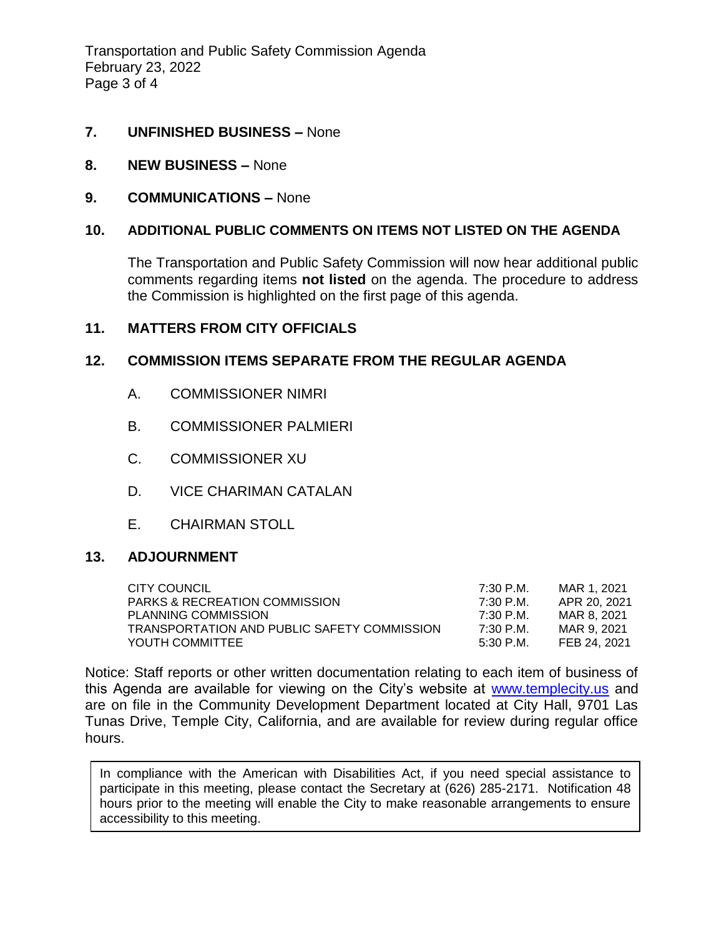Transportation and Public Safety Commission Agenda February 23, 2022 Page 3 of 4

### **7. UNFINISHED BUSINESS –** None

- **8. NEW BUSINESS –** None
- **9. COMMUNICATIONS –** None

### **10. ADDITIONAL PUBLIC COMMENTS ON ITEMS NOT LISTED ON THE AGENDA**

The Transportation and Public Safety Commission will now hear additional public comments regarding items **not listed** on the agenda. The procedure to address the Commission is highlighted on the first page of this agenda.

### **11. MATTERS FROM CITY OFFICIALS**

## **12. COMMISSION ITEMS SEPARATE FROM THE REGULAR AGENDA**

- A. COMMISSIONER NIMRI
- B. COMMISSIONER PALMIERI
- C. COMMISSIONER XU
- D. VICE CHARIMAN CATALAN
- E. CHAIRMAN STOLL

### **13. ADJOURNMENT**

| CITY COUNCIL                                | 7:30 P.M. | MAR 1. 2021  |
|---------------------------------------------|-----------|--------------|
| <b>PARKS &amp; RECREATION COMMISSION</b>    | 7:30 P.M. | APR 20, 2021 |
| PLANNING COMMISSION                         | 7:30 P.M. | MAR 8, 2021  |
| TRANSPORTATION AND PUBLIC SAFETY COMMISSION | 7:30 P.M. | MAR 9. 2021  |
| YOUTH COMMITTEE                             | 5:30 P.M. | FEB 24. 2021 |

Notice: Staff reports or other written documentation relating to each item of business of this Agenda are available for viewing on the City's website at [www.templecity.us](http://www.templecity.us/) and are on file in the Community Development Department located at City Hall, 9701 Las Tunas Drive, Temple City, California, and are available for review during regular office hours.

In compliance with the American with Disabilities Act, if you need special assistance to participate in this meeting, please contact the Secretary at (626) 285-2171. Notification 48 hours prior to the meeting will enable the City to make reasonable arrangements to ensure accessibility to this meeting.